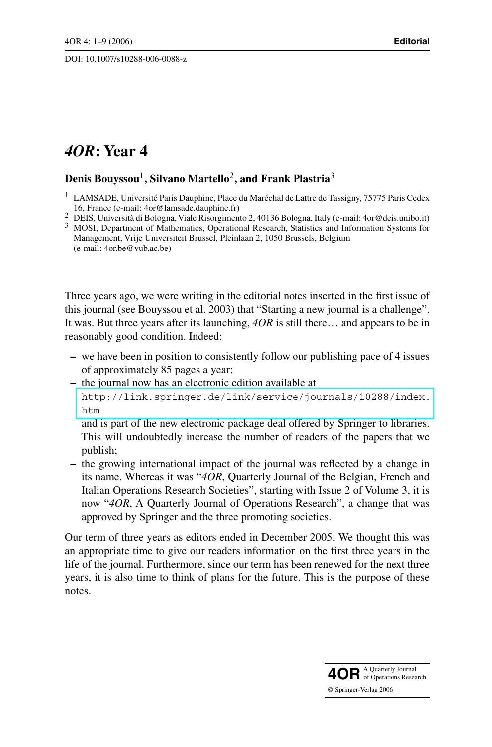# *4OR***: Year 4**

# **Denis Bouyssou**1**, Silvano Martello**2**, and Frank Plastria**<sup>3</sup>

Three years ago, we were writing in the editorial notes inserted in the first issue of this journal (see Bouyssou et al. 2003) that "Starting a new journal is a challenge". It was. But three years after its launching, *4OR* is still there… and appears to be in reasonably good condition. Indeed:

- **–** we have been in position to consistently follow our publishing pace of 4 issues of approximately 85 pages a year;
- **–** the journal now has an electronic edition available at [http://link.springer.de/link/service/journals/10288/index.](http://link.springer.de/link/service/journals/10288/index.htm) htm

and is part of the new electronic package deal offered by Springer to libraries. This will undoubtedly increase the number of readers of the papers that we publish;

**–** the growing international impact of the journal was reflected by a change in its name. Whereas it was "*4OR*, Quarterly Journal of the Belgian, French and Italian Operations Research Societies", starting with Issue 2 of Volume 3, it is now "*4OR*, A Quarterly Journal of Operations Research", a change that was approved by Springer and the three promoting societies.

Our term of three years as editors ended in December 2005. We thought this was an appropriate time to give our readers information on the first three years in the life of the journal. Furthermore, since our term has been renewed for the next three years, it is also time to think of plans for the future. This is the purpose of these notes.



<sup>&</sup>lt;sup>1</sup> LAMSADE, Université Paris Dauphine, Place du Maréchal de Lattre de Tassigny, 75775 Paris Cedex

<sup>16,</sup> France (e-mail: 4or@lamsade.dauphine.fr)<br>
<sup>2</sup> DEIS, Università di Bologna, Viale Risorgimento 2, 40136 Bologna, Italy (e-mail: 4or@deis.unibo.it)<br>
<sup>3</sup> MOSI, Department of Mathematics, Operational Research, Statistics Management, Vrije Universiteit Brussel, Pleinlaan 2, 1050 Brussels, Belgium (e-mail: 4or.be@vub.ac.be)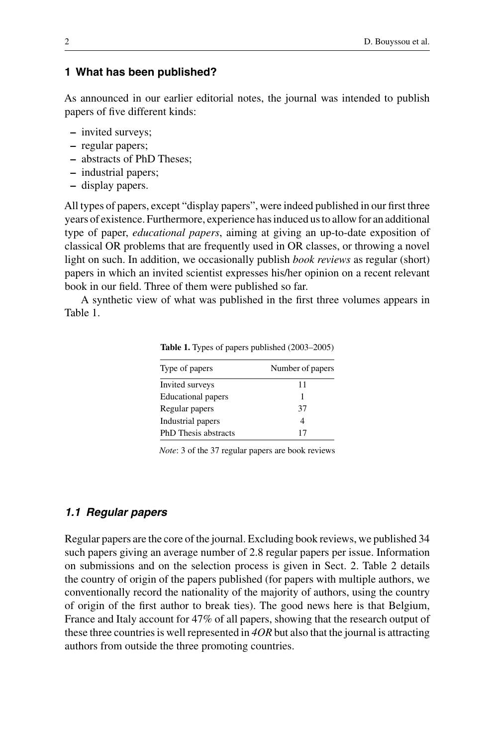# **1 What has been published?**

As announced in our earlier editorial notes, the journal was intended to publish papers of five different kinds:

- **–** invited surveys;
- **–** regular papers;
- **–** abstracts of PhD Theses;
- **–** industrial papers;
- **–** display papers.

All types of papers, except "display papers", were indeed published in our first three years of existence. Furthermore, experience has induced us to allow for an additional type of paper, *educational papers*, aiming at giving an up-to-date exposition of classical OR problems that are frequently used in OR classes, or throwing a novel light on such. In addition, we occasionally publish *book reviews* as regular (short) papers in which an invited scientist expresses his/her opinion on a recent relevant book in our field. Three of them were published so far.

A synthetic view of what was published in the first three volumes appears in Table 1.

| Type of papers            | Number of papers |  |
|---------------------------|------------------|--|
| Invited surveys           | 11               |  |
| <b>Educational papers</b> | 1                |  |
| Regular papers            | 37               |  |
| Industrial papers         |                  |  |
| PhD Thesis abstracts      | 17               |  |

**Table 1.** Types of papers published (2003–2005)

*Note*: 3 of the 37 regular papers are book reviews

#### *1.1 Regular papers*

Regular papers are the core of the journal. Excluding book reviews, we published 34 such papers giving an average number of 2.8 regular papers per issue. Information on submissions and on the selection process is given in Sect. 2. Table 2 details the country of origin of the papers published (for papers with multiple authors, we conventionally record the nationality of the majority of authors, using the country of origin of the first author to break ties). The good news here is that Belgium, France and Italy account for 47% of all papers, showing that the research output of these three countries is well represented in *4OR* but also that the journal is attracting authors from outside the three promoting countries.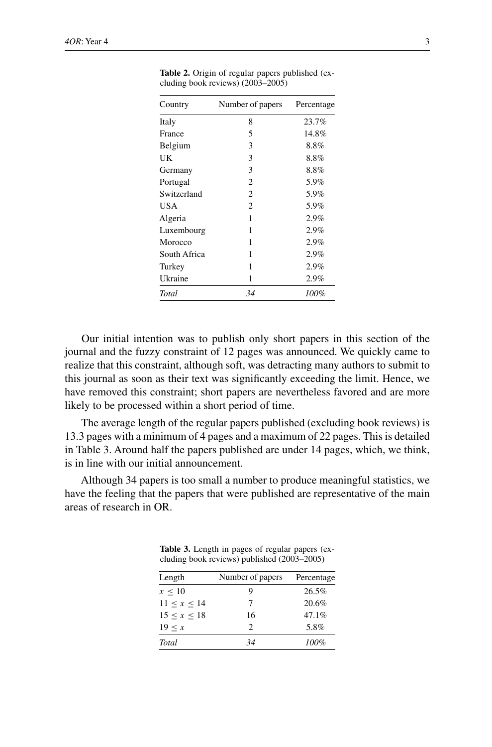| Country      | Number of papers | Percentage |  |
|--------------|------------------|------------|--|
| Italy        | 8                | 23.7%      |  |
| France       | 5                | 14.8%      |  |
| Belgium      | 3                | 8.8%       |  |
| UK           | 3                | 8.8%       |  |
| Germany      | 3                | 8.8%       |  |
| Portugal     | $\overline{c}$   | 5.9%       |  |
| Switzerland  | $\overline{c}$   | 5.9%       |  |
| USA          | $\overline{c}$   | 5.9%       |  |
| Algeria      | 1                | 2.9%       |  |
| Luxembourg   | 1                | 2.9%       |  |
| Morocco      | 1                | 2.9%       |  |
| South Africa | 1                | 2.9%       |  |
| Turkey       | 1                | 2.9%       |  |
| Ukraine      | 1                | 2.9%       |  |
| Total        | 34               | 100%       |  |

**Table 2.** Origin of regular papers published (excluding book reviews) (2003–2005)

Our initial intention was to publish only short papers in this section of the journal and the fuzzy constraint of 12 pages was announced. We quickly came to realize that this constraint, although soft, was detracting many authors to submit to this journal as soon as their text was significantly exceeding the limit. Hence, we have removed this constraint; short papers are nevertheless favored and are more likely to be processed within a short period of time.

The average length of the regular papers published (excluding book reviews) is 13.3 pages with a minimum of 4 pages and a maximum of 22 pages. This is detailed in Table 3. Around half the papers published are under 14 pages, which, we think, is in line with our initial announcement.

Although 34 papers is too small a number to produce meaningful statistics, we have the feeling that the papers that were published are representative of the main areas of research in OR.

| Length       | Number of papers | Percentage |  |
|--------------|------------------|------------|--|
| $x \leq 10$  | Q                | 26.5%      |  |
| 11 < x < 14  | 7                | 20.6%      |  |
| 15 < x < 18  | 16               | 47.1%      |  |
| 19 < x       | 2                | 5.8%       |  |
| <b>Total</b> | 34               | 100%       |  |

**Table 3.** Length in pages of regular papers (excluding book reviews) published (2003–2005)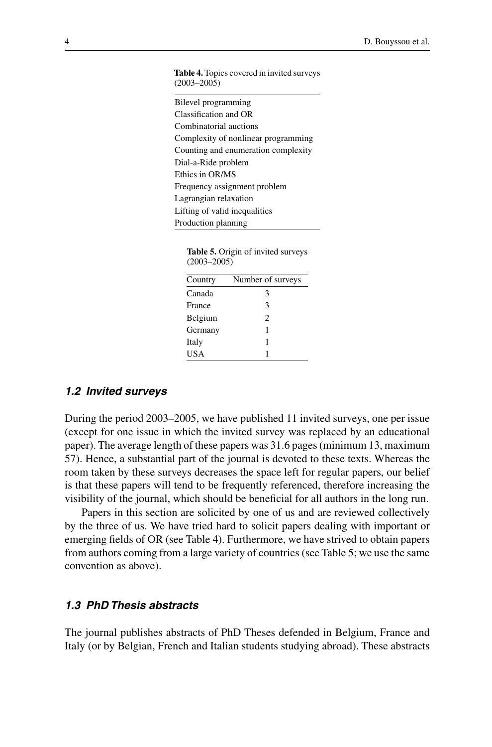**Table 4.**Topics covered in invited surveys  $(2003 - 2005)$ 

| Bilevel programming                 |
|-------------------------------------|
| Classification and OR               |
| Combinatorial auctions              |
| Complexity of nonlinear programming |
| Counting and enumeration complexity |
| Dial-a-Ride problem                 |
| Ethics in OR/MS                     |
| Frequency assignment problem        |
| Lagrangian relaxation               |
| Lifting of valid inequalities       |
| Production planning                 |

|                 |  |  | <b>Table 5.</b> Origin of invited surveys |
|-----------------|--|--|-------------------------------------------|
| $(2003 - 2005)$ |  |  |                                           |

| Country    | Number of surveys |
|------------|-------------------|
| Canada     | 3                 |
| France     | 3                 |
| Belgium    | $\mathfrak{D}$    |
| Germany    | 1                 |
| Italy      |                   |
| <b>USA</b> |                   |

#### *1.2 Invited surveys*

During the period 2003–2005, we have published 11 invited surveys, one per issue (except for one issue in which the invited survey was replaced by an educational paper). The average length of these papers was 31.6 pages (minimum 13, maximum 57). Hence, a substantial part of the journal is devoted to these texts. Whereas the room taken by these surveys decreases the space left for regular papers, our belief is that these papers will tend to be frequently referenced, therefore increasing the visibility of the journal, which should be beneficial for all authors in the long run.

Papers in this section are solicited by one of us and are reviewed collectively by the three of us. We have tried hard to solicit papers dealing with important or emerging fields of OR (see Table 4). Furthermore, we have strived to obtain papers from authors coming from a large variety of countries (see Table 5; we use the same convention as above).

# *1.3 PhD Thesis abstracts*

The journal publishes abstracts of PhD Theses defended in Belgium, France and Italy (or by Belgian, French and Italian students studying abroad). These abstracts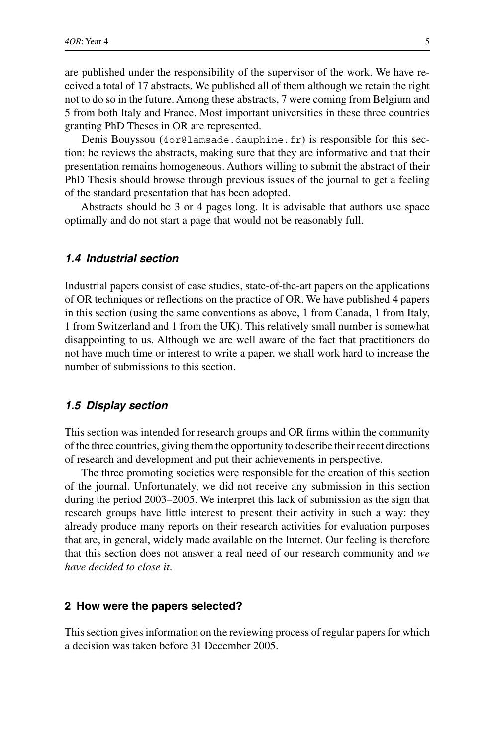are published under the responsibility of the supervisor of the work. We have received a total of 17 abstracts. We published all of them although we retain the right not to do so in the future. Among these abstracts, 7 were coming from Belgium and 5 from both Italy and France. Most important universities in these three countries granting PhD Theses in OR are represented.

Denis Bouyssou (4or@lamsade.dauphine.fr) is responsible for this section: he reviews the abstracts, making sure that they are informative and that their presentation remains homogeneous. Authors willing to submit the abstract of their PhD Thesis should browse through previous issues of the journal to get a feeling of the standard presentation that has been adopted.

Abstracts should be 3 or 4 pages long. It is advisable that authors use space optimally and do not start a page that would not be reasonably full.

# *1.4 Industrial section*

Industrial papers consist of case studies, state-of-the-art papers on the applications of OR techniques or reflections on the practice of OR. We have published 4 papers in this section (using the same conventions as above, 1 from Canada, 1 from Italy, 1 from Switzerland and 1 from the UK). This relatively small number is somewhat disappointing to us. Although we are well aware of the fact that practitioners do not have much time or interest to write a paper, we shall work hard to increase the number of submissions to this section.

#### *1.5 Display section*

This section was intended for research groups and OR firms within the community of the three countries, giving them the opportunity to describe their recent directions of research and development and put their achievements in perspective.

The three promoting societies were responsible for the creation of this section of the journal. Unfortunately, we did not receive any submission in this section during the period 2003–2005. We interpret this lack of submission as the sign that research groups have little interest to present their activity in such a way: they already produce many reports on their research activities for evaluation purposes that are, in general, widely made available on the Internet. Our feeling is therefore that this section does not answer a real need of our research community and *we have decided to close it*.

#### **2 How were the papers selected?**

This section gives information on the reviewing process of regular papers for which a decision was taken before 31 December 2005.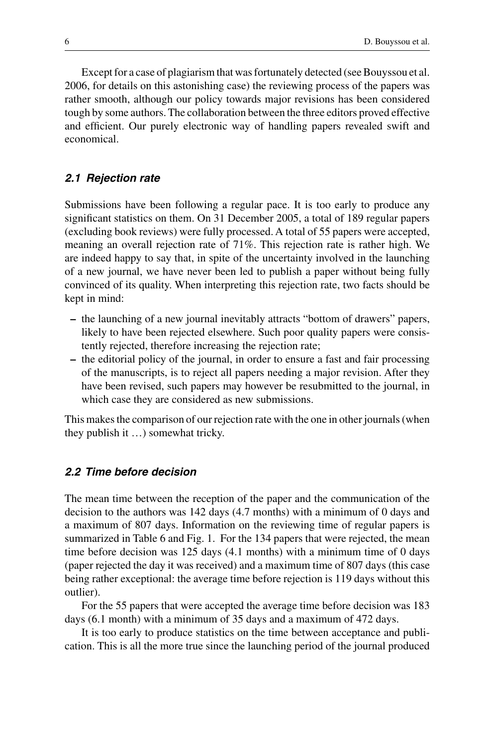Except for a case of plagiarism that was fortunately detected (see Bouyssou et al. 2006, for details on this astonishing case) the reviewing process of the papers was rather smooth, although our policy towards major revisions has been considered tough by some authors. The collaboration between the three editors proved effective and efficient. Our purely electronic way of handling papers revealed swift and economical.

# *2.1 Rejection rate*

Submissions have been following a regular pace. It is too early to produce any significant statistics on them. On 31 December 2005, a total of 189 regular papers (excluding book reviews) were fully processed. A total of 55 papers were accepted, meaning an overall rejection rate of 71%. This rejection rate is rather high. We are indeed happy to say that, in spite of the uncertainty involved in the launching of a new journal, we have never been led to publish a paper without being fully convinced of its quality. When interpreting this rejection rate, two facts should be kept in mind:

- **–** the launching of a new journal inevitably attracts "bottom of drawers" papers, likely to have been rejected elsewhere. Such poor quality papers were consistently rejected, therefore increasing the rejection rate;
- **–** the editorial policy of the journal, in order to ensure a fast and fair processing of the manuscripts, is to reject all papers needing a major revision. After they have been revised, such papers may however be resubmitted to the journal, in which case they are considered as new submissions.

This makes the comparison of our rejection rate with the one in other journals (when they publish it …) somewhat tricky.

# *2.2 Time before decision*

The mean time between the reception of the paper and the communication of the decision to the authors was 142 days (4.7 months) with a minimum of 0 days and a maximum of 807 days. Information on the reviewing time of regular papers is summarized in Table 6 and Fig. 1. For the 134 papers that were rejected, the mean time before decision was 125 days (4.1 months) with a minimum time of 0 days (paper rejected the day it was received) and a maximum time of 807 days (this case being rather exceptional: the average time before rejection is 119 days without this outlier).

For the 55 papers that were accepted the average time before decision was 183 days (6.1 month) with a minimum of 35 days and a maximum of 472 days.

It is too early to produce statistics on the time between acceptance and publication. This is all the more true since the launching period of the journal produced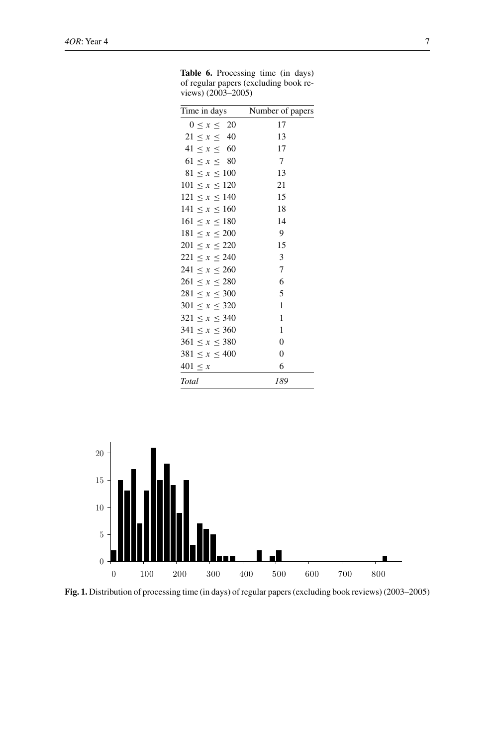| Time in days        | Number of papers |
|---------------------|------------------|
| $0 \leq x \leq 20$  | 17               |
| $21 \le x \le 40$   | 13               |
| $41 \le x \le 60$   | 17               |
| $61 \le x \le 80$   | 7                |
| $81 \le x \le 100$  | 13               |
| $101 \le x \le 120$ | 21               |
| $121 \le x \le 140$ | 15               |
| $141 \le x \le 160$ | 18               |
| $161 \le x \le 180$ | 14               |
| $181 \le x \le 200$ | 9                |
| $201 \le x \le 220$ | 15               |
| $221 \le x \le 240$ | 3                |
| $241 \le x \le 260$ | $\tau$           |
| $261 \le x \le 280$ | 6                |
| $281 \le x \le 300$ | 5                |
| $301 \le x \le 320$ | $\mathbf{1}$     |
| $321 \le x \le 340$ | 1                |
| $341 \le x \le 360$ | 1                |
| $361 \le x \le 380$ | $\theta$         |
| $381 \le x \le 400$ | $\overline{0}$   |
| $401 \leq x$        | 6                |
| Total               | 189              |

**Table 6.** Processing time (in days) of regular papers (excluding book reviews) (2003–2005)



**Fig. 1.** Distribution of processing time (in days) of regular papers (excluding book reviews) (2003–2005)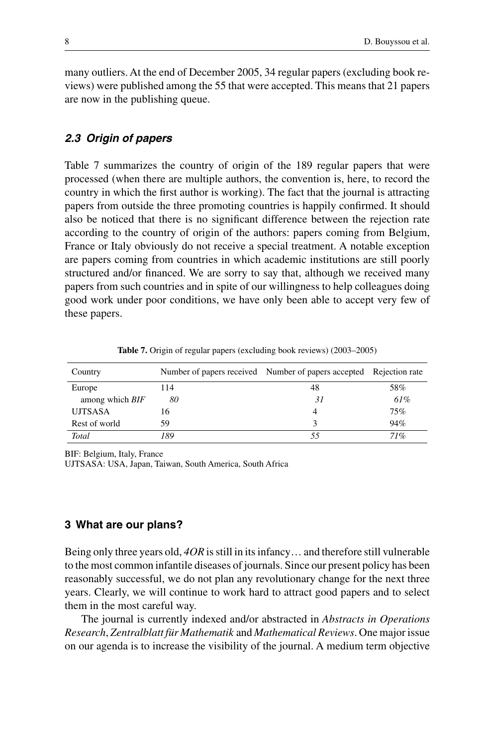many outliers. At the end of December 2005, 34 regular papers (excluding book reviews) were published among the 55 that were accepted. This means that 21 papers are now in the publishing queue.

# *2.3 Origin of papers*

Table 7 summarizes the country of origin of the 189 regular papers that were processed (when there are multiple authors, the convention is, here, to record the country in which the first author is working). The fact that the journal is attracting papers from outside the three promoting countries is happily confirmed. It should also be noticed that there is no significant difference between the rejection rate according to the country of origin of the authors: papers coming from Belgium, France or Italy obviously do not receive a special treatment. A notable exception are papers coming from countries in which academic institutions are still poorly structured and/or financed. We are sorry to say that, although we received many papers from such countries and in spite of our willingness to help colleagues doing good work under poor conditions, we have only been able to accept very few of these papers.

| Country         |     | Number of papers received Number of papers accepted Rejection rate |     |
|-----------------|-----|--------------------------------------------------------------------|-----|
| Europe          | 114 | 48                                                                 | 58% |
| among which BIF | 80  | 31                                                                 | 61% |
| <b>UJTSASA</b>  | 16  | 4                                                                  | 75% |
| Rest of world   | 59  | 3                                                                  | 94% |
| Total           | 189 |                                                                    | 71% |

**Table 7.** Origin of regular papers (excluding book reviews) (2003–2005)

BIF: Belgium, Italy, France

UJTSASA: USA, Japan, Taiwan, South America, South Africa

# **3 What are our plans?**

Being only three years old, *4OR* is still in its infancy… and therefore still vulnerable to the most common infantile diseases of journals. Since our present policy has been reasonably successful, we do not plan any revolutionary change for the next three years. Clearly, we will continue to work hard to attract good papers and to select them in the most careful way.

The journal is currently indexed and/or abstracted in *Abstracts in Operations Research*, *Zentralblatt für Mathematik* and *Mathematical Reviews*. One major issue on our agenda is to increase the visibility of the journal. A medium term objective